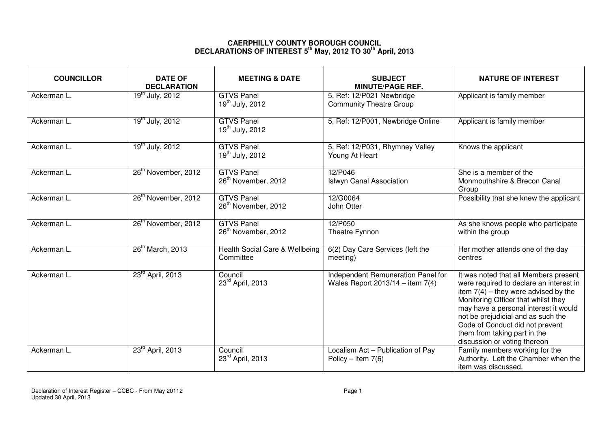## **CAERPHILLY COUNTY BOROUGH COUNCIL DECLARATIONS OF INTEREST 5th May, 2012 TO 30th April, 2013**

| <b>COUNCILLOR</b> | <b>DATE OF</b><br><b>DECLARATION</b> | <b>MEETING &amp; DATE</b>                            | <b>SUBJECT</b><br><b>MINUTE/PAGE REF.</b>                                  | <b>NATURE OF INTEREST</b>                                                                                                                                                                                                                                                                                                                           |
|-------------------|--------------------------------------|------------------------------------------------------|----------------------------------------------------------------------------|-----------------------------------------------------------------------------------------------------------------------------------------------------------------------------------------------------------------------------------------------------------------------------------------------------------------------------------------------------|
| Ackerman L.       | $19^{th}$ July, 2012                 | <b>GTVS Panel</b><br>$19^{th}$ July, 2012            | 5, Ref: 12/P021 Newbridge<br><b>Community Theatre Group</b>                | Applicant is family member                                                                                                                                                                                                                                                                                                                          |
| Ackerman L.       | 19 <sup>th</sup> July, 2012          | <b>GTVS Panel</b><br>$19^{th}$ July, 2012            | 5, Ref: 12/P001, Newbridge Online                                          | Applicant is family member                                                                                                                                                                                                                                                                                                                          |
| Ackerman L.       | 19 <sup>th</sup> July, 2012          | <b>GTVS Panel</b><br>19 <sup>th</sup> July, 2012     | 5, Ref: 12/P031, Rhymney Valley<br>Young At Heart                          | Knows the applicant                                                                                                                                                                                                                                                                                                                                 |
| Ackerman L.       | 26 <sup>th</sup> November, 2012      | <b>GTVS Panel</b><br>26 <sup>th</sup> November, 2012 | 12/P046<br><b>Islwyn Canal Association</b>                                 | She is a member of the<br>Monmouthshire & Brecon Canal<br>Group                                                                                                                                                                                                                                                                                     |
| Ackerman L.       | 26 <sup>th</sup> November, 2012      | <b>GTVS Panel</b><br>26 <sup>th</sup> November, 2012 | 12/G0064<br>John Otter                                                     | Possibility that she knew the applicant                                                                                                                                                                                                                                                                                                             |
| Ackerman L.       | 26 <sup>th</sup> November, 2012      | <b>GTVS Panel</b><br>26 <sup>th</sup> November, 2012 | 12/P050<br>Theatre Fynnon                                                  | As she knows people who participate<br>within the group                                                                                                                                                                                                                                                                                             |
| Ackerman L.       | 26 <sup>th</sup> March, 2013         | Health Social Care & Wellbeing<br>Committee          | 6(2) Day Care Services (left the<br>meeting)                               | Her mother attends one of the day<br>centres                                                                                                                                                                                                                                                                                                        |
| Ackerman L.       | 23 <sup>rd</sup> April, 2013         | Council<br>23rd April, 2013                          | Independent Remuneration Panel for<br>Wales Report $2013/14 -$ item $7(4)$ | It was noted that all Members present<br>were required to declare an interest in<br>item $7(4)$ – they were advised by the<br>Monitoring Officer that whilst they<br>may have a personal interest it would<br>not be prejudicial and as such the<br>Code of Conduct did not prevent<br>them from taking part in the<br>discussion or voting thereon |
| Ackerman L        | 23 <sup>rd</sup> April, 2013         | Council<br>23rd April, 2013                          | Localism Act - Publication of Pay<br>Policy – item $7(6)$                  | Family members working for the<br>Authority. Left the Chamber when the<br>item was discussed.                                                                                                                                                                                                                                                       |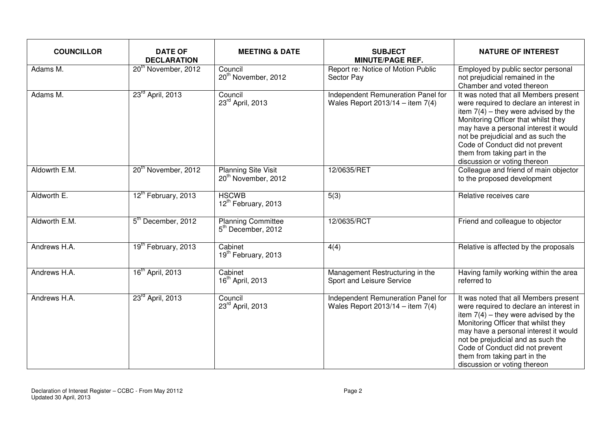| <b>COUNCILLOR</b> | <b>DATE OF</b><br><b>DECLARATION</b> | <b>MEETING &amp; DATE</b>                                     | <b>SUBJECT</b><br><b>MINUTE/PAGE REF.</b>                                | <b>NATURE OF INTEREST</b>                                                                                                                                                                                                                                                                                                                           |
|-------------------|--------------------------------------|---------------------------------------------------------------|--------------------------------------------------------------------------|-----------------------------------------------------------------------------------------------------------------------------------------------------------------------------------------------------------------------------------------------------------------------------------------------------------------------------------------------------|
| Adams M.          | 20 <sup>th</sup> November, 2012      | Council<br>20 <sup>th</sup> November, 2012                    | Report re: Notice of Motion Public<br>Sector Pay                         | Employed by public sector personal<br>not prejudicial remained in the<br>Chamber and voted thereon                                                                                                                                                                                                                                                  |
| Adams M.          | 23 <sup>rd</sup> April, 2013         | Council<br>23rd April, 2013                                   | Independent Remuneration Panel for<br>Wales Report 2013/14 - item $7(4)$ | It was noted that all Members present<br>were required to declare an interest in<br>item $7(4)$ – they were advised by the<br>Monitoring Officer that whilst they<br>may have a personal interest it would<br>not be prejudicial and as such the<br>Code of Conduct did not prevent<br>them from taking part in the<br>discussion or voting thereon |
| Aldowrth E.M.     | 20 <sup>th</sup> November, 2012      | <b>Planning Site Visit</b><br>20 <sup>th</sup> November, 2012 | 12/0635/RET                                                              | Colleague and friend of main objector<br>to the proposed development                                                                                                                                                                                                                                                                                |
| Aldworth E.       | 12th February, 2013                  | <b>HSCWB</b><br>12 <sup>th</sup> February, 2013               | 5(3)                                                                     | Relative receives care                                                                                                                                                                                                                                                                                                                              |
| Aldworth E.M.     | 5 <sup>th</sup> December, 2012       | <b>Planning Committee</b><br>5 <sup>th</sup> December, 2012   | 12/0635/RCT                                                              | Friend and colleague to objector                                                                                                                                                                                                                                                                                                                    |
| Andrews H.A.      | 19 <sup>th</sup> February, 2013      | Cabinet<br>19 <sup>th</sup> February, 2013                    | 4(4)                                                                     | Relative is affected by the proposals                                                                                                                                                                                                                                                                                                               |
| Andrews H.A.      | 16 <sup>th</sup> April, 2013         | Cabinet<br>16 <sup>th</sup> April, 2013                       | Management Restructuring in the<br>Sport and Leisure Service             | Having family working within the area<br>referred to                                                                                                                                                                                                                                                                                                |
| Andrews H.A.      | 23 <sup>rd</sup> April, 2013         | Council<br>23rd April, 2013                                   | Independent Remuneration Panel for<br>Wales Report $2013/14 -$ item 7(4) | It was noted that all Members present<br>were required to declare an interest in<br>item $7(4)$ – they were advised by the<br>Monitoring Officer that whilst they<br>may have a personal interest it would<br>not be prejudicial and as such the<br>Code of Conduct did not prevent<br>them from taking part in the<br>discussion or voting thereon |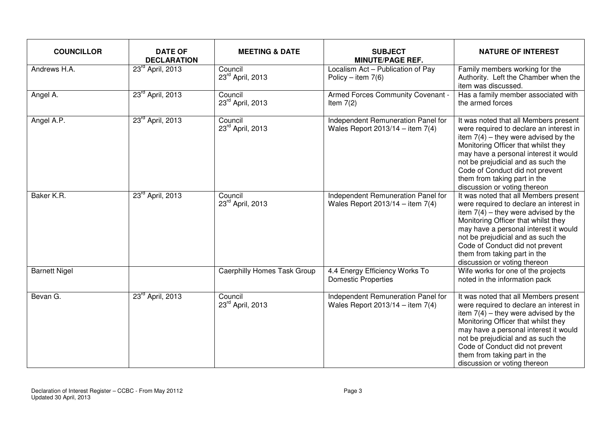| <b>COUNCILLOR</b>    | <b>DATE OF</b><br><b>DECLARATION</b> | <b>MEETING &amp; DATE</b>          | <b>SUBJECT</b><br><b>MINUTE/PAGE REF.</b>                                | <b>NATURE OF INTEREST</b>                                                                                                                                                                                                                                                                                                                           |
|----------------------|--------------------------------------|------------------------------------|--------------------------------------------------------------------------|-----------------------------------------------------------------------------------------------------------------------------------------------------------------------------------------------------------------------------------------------------------------------------------------------------------------------------------------------------|
| Andrews H.A.         | 23 <sup>rd</sup> April, 2013         | Council<br>23rd April, 2013        | Localism Act - Publication of Pay<br>Policy – item $7(6)$                | Family members working for the<br>Authority. Left the Chamber when the<br>item was discussed.                                                                                                                                                                                                                                                       |
| Angel A.             | 23 <sup>rd</sup> April, 2013         | Council<br>23rd April, 2013        | Armed Forces Community Covenant -<br>Item $7(2)$                         | Has a family member associated with<br>the armed forces                                                                                                                                                                                                                                                                                             |
| Angel A.P.           | 23 <sup>rd</sup> April, 2013         | Council<br>23rd April, 2013        | Independent Remuneration Panel for<br>Wales Report $2013/14 -$ item 7(4) | It was noted that all Members present<br>were required to declare an interest in<br>item $7(4)$ – they were advised by the<br>Monitoring Officer that whilst they<br>may have a personal interest it would<br>not be prejudicial and as such the<br>Code of Conduct did not prevent<br>them from taking part in the<br>discussion or voting thereon |
| Baker K.R.           | $23^{rd}$ April, 2013                | Council<br>23rd April, 2013        | Independent Remuneration Panel for<br>Wales Report $2013/14 -$ item 7(4) | It was noted that all Members present<br>were required to declare an interest in<br>item $7(4)$ – they were advised by the<br>Monitoring Officer that whilst they<br>may have a personal interest it would<br>not be prejudicial and as such the<br>Code of Conduct did not prevent<br>them from taking part in the<br>discussion or voting thereon |
| <b>Barnett Nigel</b> |                                      | <b>Caerphilly Homes Task Group</b> | 4.4 Energy Efficiency Works To<br><b>Domestic Properties</b>             | Wife works for one of the projects<br>noted in the information pack                                                                                                                                                                                                                                                                                 |
| Bevan G.             | 23 <sup>rd</sup> April, 2013         | Council<br>23rd April, 2013        | Independent Remuneration Panel for<br>Wales Report $2013/14 -$ item 7(4) | It was noted that all Members present<br>were required to declare an interest in<br>item $7(4)$ – they were advised by the<br>Monitoring Officer that whilst they<br>may have a personal interest it would<br>not be prejudicial and as such the<br>Code of Conduct did not prevent<br>them from taking part in the<br>discussion or voting thereon |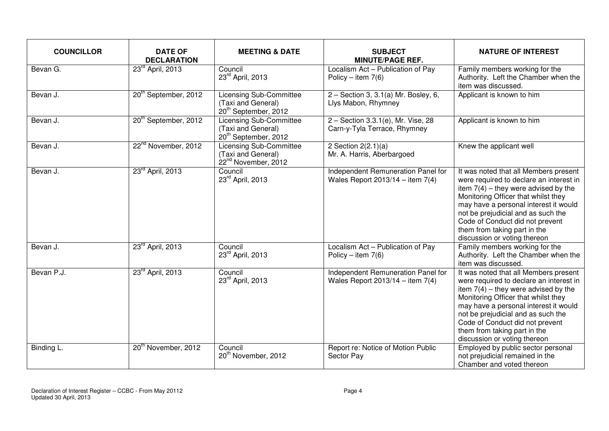| <b>COUNCILLOR</b> | <b>DATE OF</b><br><b>DECLARATION</b> | <b>MEETING &amp; DATE</b>                                                                | <b>SUBJECT</b><br><b>MINUTE/PAGE REF.</b>                                  | <b>NATURE OF INTEREST</b>                                                                                                                                                                                                                                                                                                                           |
|-------------------|--------------------------------------|------------------------------------------------------------------------------------------|----------------------------------------------------------------------------|-----------------------------------------------------------------------------------------------------------------------------------------------------------------------------------------------------------------------------------------------------------------------------------------------------------------------------------------------------|
| Bevan G.          | 23 <sup>rd</sup> April, 2013         | Council<br>23rd April, 2013                                                              | Localism Act - Publication of Pay<br>Policy – item $7(6)$                  | Family members working for the<br>Authority. Left the Chamber when the<br>item was discussed.                                                                                                                                                                                                                                                       |
| Bevan J.          | 20 <sup>th</sup> September, 2012     | <b>Licensing Sub-Committee</b><br>(Taxi and General)<br>20 <sup>th</sup> September, 2012 | $2 -$ Section 3, 3.1(a) Mr. Bosley, 6,<br>Llys Mabon, Rhymney              | Applicant is known to him                                                                                                                                                                                                                                                                                                                           |
| Bevan J.          | 20 <sup>th</sup> September, 2012     | <b>Licensing Sub-Committee</b><br>(Taxi and General)<br>20 <sup>th</sup> September, 2012 | 2 - Section 3.3.1(e), Mr. Vise, 28<br>Carn-y-Tyla Terrace, Rhymney         | Applicant is known to him                                                                                                                                                                                                                                                                                                                           |
| Bevan J.          | 22 <sup>nd</sup> November, 2012      | <b>Licensing Sub-Committee</b><br>(Taxi and General)<br>22 <sup>nd</sup> November, 2012  | 2 Section $2(2.1)(a)$<br>Mr. A. Harris, Aberbargoed                        | Knew the applicant well                                                                                                                                                                                                                                                                                                                             |
| Bevan J.          | 23 <sup>rd</sup> April, 2013         | Council<br>23rd April, 2013                                                              | Independent Remuneration Panel for<br>Wales Report $2013/14 -$ item 7(4)   | It was noted that all Members present<br>were required to declare an interest in<br>item $7(4)$ - they were advised by the<br>Monitoring Officer that whilst they<br>may have a personal interest it would<br>not be prejudicial and as such the<br>Code of Conduct did not prevent<br>them from taking part in the<br>discussion or voting thereon |
| Bevan J.          | 23 <sup>rd</sup> April, 2013         | Council<br>23rd April, 2013                                                              | Localism Act - Publication of Pay<br>Policy – item $7(6)$                  | Family members working for the<br>Authority. Left the Chamber when the<br>item was discussed.                                                                                                                                                                                                                                                       |
| Bevan P.J.        | 23 <sup>rd</sup> April, 2013         | Council<br>23rd April, 2013                                                              | Independent Remuneration Panel for<br>Wales Report $2013/14 -$ item $7(4)$ | It was noted that all Members present<br>were required to declare an interest in<br>item $7(4)$ - they were advised by the<br>Monitoring Officer that whilst they<br>may have a personal interest it would<br>not be prejudicial and as such the<br>Code of Conduct did not prevent<br>them from taking part in the<br>discussion or voting thereon |
| Binding L.        | 20 <sup>th</sup> November, 2012      | Council<br>20 <sup>th</sup> November, 2012                                               | Report re: Notice of Motion Public<br>Sector Pay                           | Employed by public sector personal<br>not prejudicial remained in the<br>Chamber and voted thereon                                                                                                                                                                                                                                                  |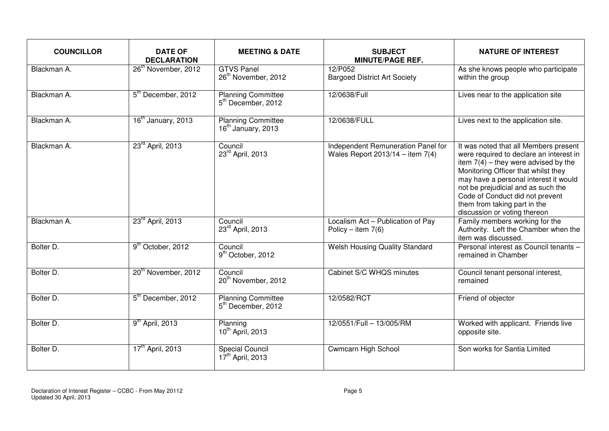| <b>COUNCILLOR</b> | <b>DATE OF</b><br><b>DECLARATION</b> | <b>MEETING &amp; DATE</b>                                   | <b>SUBJECT</b><br><b>MINUTE/PAGE REF.</b>                                | <b>NATURE OF INTEREST</b>                                                                                                                                                                                                                                                                                                                           |
|-------------------|--------------------------------------|-------------------------------------------------------------|--------------------------------------------------------------------------|-----------------------------------------------------------------------------------------------------------------------------------------------------------------------------------------------------------------------------------------------------------------------------------------------------------------------------------------------------|
| Blackman A.       | 26 <sup>th</sup> November, 2012      | <b>GTVS Panel</b><br>26 <sup>th</sup> November, 2012        | 12/P052<br><b>Bargoed District Art Society</b>                           | As she knows people who participate<br>within the group                                                                                                                                                                                                                                                                                             |
| Blackman A.       | 5 <sup>th</sup> December, 2012       | <b>Planning Committee</b><br>5 <sup>th</sup> December, 2012 | 12/0638/Full                                                             | Lives near to the application site                                                                                                                                                                                                                                                                                                                  |
| Blackman A.       | 16 <sup>th</sup> January, 2013       | Planning Committee<br>16 <sup>th</sup> January, 2013        | 12/0638/FULL                                                             | Lives next to the application site.                                                                                                                                                                                                                                                                                                                 |
| Blackman A.       | 23 <sup>rd</sup> April, 2013         | Council<br>23rd April, 2013                                 | Independent Remuneration Panel for<br>Wales Report $2013/14 -$ item 7(4) | It was noted that all Members present<br>were required to declare an interest in<br>item $7(4)$ – they were advised by the<br>Monitoring Officer that whilst they<br>may have a personal interest it would<br>not be prejudicial and as such the<br>Code of Conduct did not prevent<br>them from taking part in the<br>discussion or voting thereon |
| Blackman A.       | 23 <sup>rd</sup> April, 2013         | Council<br>23rd April, 2013                                 | Localism Act - Publication of Pay<br>Policy – item $7(6)$                | Family members working for the<br>Authority. Left the Chamber when the<br>item was discussed.                                                                                                                                                                                                                                                       |
| Bolter D.         | 9 <sup>th</sup> October, 2012        | Council<br>9 <sup>th</sup> October, 2012                    | <b>Welsh Housing Quality Standard</b>                                    | Personal interest as Council tenants -<br>remained in Chamber                                                                                                                                                                                                                                                                                       |
| Bolter D.         | 20 <sup>th</sup> November, 2012      | Council<br>20 <sup>th</sup> November, 2012                  | Cabinet S/C WHQS minutes                                                 | Council tenant personal interest,<br>remained                                                                                                                                                                                                                                                                                                       |
| Bolter D.         | 5 <sup>th</sup> December, 2012       | <b>Planning Committee</b><br>5 <sup>th</sup> December, 2012 | 12/0582/RCT                                                              | Friend of objector                                                                                                                                                                                                                                                                                                                                  |
| Bolter D.         | $9th$ April, 2013                    | Planning<br>10 <sup>th</sup> April, 2013                    | 12/0551/Full - 13/005/RM                                                 | Worked with applicant. Friends live<br>opposite site.                                                                                                                                                                                                                                                                                               |
| Bolter D.         | 17 <sup>th</sup> April, 2013         | <b>Special Council</b><br>17 <sup>th</sup> April, 2013      | <b>Cwmcarn High School</b>                                               | Son works for Santia Limited                                                                                                                                                                                                                                                                                                                        |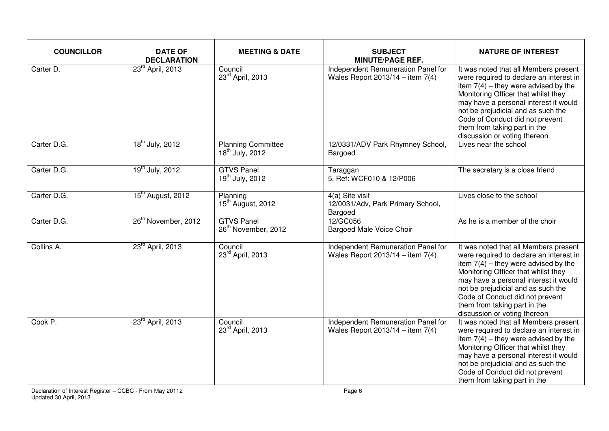| <b>COUNCILLOR</b> | <b>DATE OF</b><br><b>DECLARATION</b> | <b>MEETING &amp; DATE</b>                                | <b>SUBJECT</b><br><b>MINUTE/PAGE REF.</b>                                  | <b>NATURE OF INTEREST</b>                                                                                                                                                                                                                                                                                                                           |
|-------------------|--------------------------------------|----------------------------------------------------------|----------------------------------------------------------------------------|-----------------------------------------------------------------------------------------------------------------------------------------------------------------------------------------------------------------------------------------------------------------------------------------------------------------------------------------------------|
| Carter D.         | 23 <sup>rd</sup> April, 2013         | Council<br>23rd April, 2013                              | Independent Remuneration Panel for<br>Wales Report $2013/14 -$ item 7(4)   | It was noted that all Members present<br>were required to declare an interest in<br>item $7(4)$ – they were advised by the<br>Monitoring Officer that whilst they<br>may have a personal interest it would<br>not be prejudicial and as such the<br>Code of Conduct did not prevent<br>them from taking part in the<br>discussion or voting thereon |
| Carter D.G.       | 18 <sup>th</sup> July, 2012          | <b>Planning Committee</b><br>18 <sup>th</sup> July, 2012 | 12/0331/ADV Park Rhymney School,<br>Bargoed                                | Lives near the school                                                                                                                                                                                                                                                                                                                               |
| Carter D.G.       | 19 <sup>th</sup> July, 2012          | <b>GTVS Panel</b><br>$19^{th}$ July, 2012                | Taraggan<br>5, Ref: WCF010 & 12/P006                                       | The secretary is a close friend                                                                                                                                                                                                                                                                                                                     |
| Carter D.G.       | 15 <sup>th</sup> August, 2012        | Planning<br>15 <sup>th</sup> August, 2012                | 4(a) Site visit<br>12/0031/Adv, Park Primary School,<br>Bargoed            | Lives close to the school                                                                                                                                                                                                                                                                                                                           |
| Carter D.G.       | 26 <sup>th</sup> November, 2012      | <b>GTVS Panel</b><br>26 <sup>th</sup> November, 2012     | 12/GC056<br><b>Bargoed Male Voice Choir</b>                                | As he is a member of the choir                                                                                                                                                                                                                                                                                                                      |
| Collins A.        | 23 <sup>rd</sup> April, 2013         | Council<br>23rd April, 2013                              | Independent Remuneration Panel for<br>Wales Report $2013/14 -$ item $7(4)$ | It was noted that all Members present<br>were required to declare an interest in<br>item $7(4)$ – they were advised by the<br>Monitoring Officer that whilst they<br>may have a personal interest it would<br>not be prejudicial and as such the<br>Code of Conduct did not prevent<br>them from taking part in the<br>discussion or voting thereon |
| Cook P.           | 23 <sup>rd</sup> April, 2013         | Council<br>23rd April, 2013                              | Independent Remuneration Panel for<br>Wales Report $2013/14 -$ item 7(4)   | It was noted that all Members present<br>were required to declare an interest in<br>item $7(4)$ – they were advised by the<br>Monitoring Officer that whilst they<br>may have a personal interest it would<br>not be prejudicial and as such the<br>Code of Conduct did not prevent<br>them from taking part in the                                 |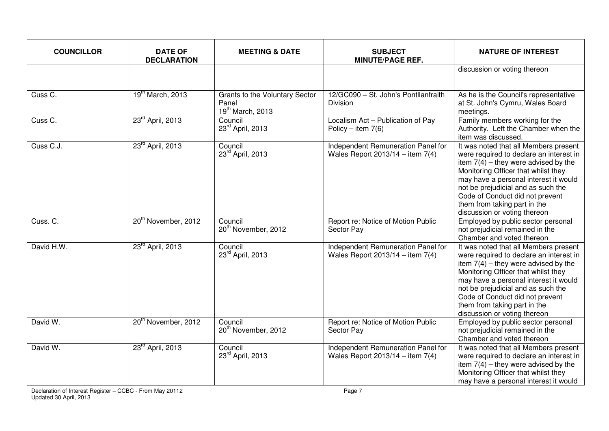| <b>COUNCILLOR</b>     | <b>DATE OF</b><br><b>DECLARATION</b> | <b>MEETING &amp; DATE</b>                                          | <b>SUBJECT</b><br><b>MINUTE/PAGE REF.</b>                                | <b>NATURE OF INTEREST</b>                                                                                                                                                                                                                                                                                                                           |
|-----------------------|--------------------------------------|--------------------------------------------------------------------|--------------------------------------------------------------------------|-----------------------------------------------------------------------------------------------------------------------------------------------------------------------------------------------------------------------------------------------------------------------------------------------------------------------------------------------------|
|                       |                                      |                                                                    |                                                                          | discussion or voting thereon                                                                                                                                                                                                                                                                                                                        |
| Cuss C.               | 19 <sup>th</sup> March, 2013         | <b>Grants to the Voluntary Sector</b><br>Panel<br>19th March, 2013 | 12/GC090 - St. John's Pontllanfraith<br><b>Division</b>                  | As he is the Council's representative<br>at St. John's Cymru, Wales Board<br>meetings.                                                                                                                                                                                                                                                              |
| Cuss $\overline{C}$ . | 23 <sup>rd</sup> April, 2013         | Council<br>23rd April, 2013                                        | Localism Act - Publication of Pay<br>Policy – item $7(6)$                | Family members working for the<br>Authority. Left the Chamber when the<br>item was discussed.                                                                                                                                                                                                                                                       |
| Cuss C.J.             | 23 <sup>rd</sup> April, 2013         | Council<br>23rd April, 2013                                        | Independent Remuneration Panel for<br>Wales Report $2013/14 -$ item 7(4) | It was noted that all Members present<br>were required to declare an interest in<br>item $7(4)$ – they were advised by the<br>Monitoring Officer that whilst they<br>may have a personal interest it would<br>not be prejudicial and as such the<br>Code of Conduct did not prevent<br>them from taking part in the<br>discussion or voting thereon |
| Cuss. C.              | 20 <sup>th</sup> November, 2012      | Council<br>20 <sup>th</sup> November, 2012                         | Report re: Notice of Motion Public<br>Sector Pay                         | Employed by public sector personal<br>not prejudicial remained in the<br>Chamber and voted thereon                                                                                                                                                                                                                                                  |
| David H.W.            | 23 <sup>rd</sup> April, 2013         | Council<br>23rd April, 2013                                        | Independent Remuneration Panel for<br>Wales Report $2013/14 -$ item 7(4) | It was noted that all Members present<br>were required to declare an interest in<br>item $7(4)$ – they were advised by the<br>Monitoring Officer that whilst they<br>may have a personal interest it would<br>not be prejudicial and as such the<br>Code of Conduct did not prevent<br>them from taking part in the<br>discussion or voting thereon |
| David W.              | 20 <sup>th</sup> November, 2012      | Council<br>20 <sup>th</sup> November, 2012                         | Report re: Notice of Motion Public<br>Sector Pay                         | Employed by public sector personal<br>not prejudicial remained in the<br>Chamber and voted thereon                                                                                                                                                                                                                                                  |
| David W.              | 23 <sup>rd</sup> April, 2013         | Council<br>23rd April, 2013                                        | Independent Remuneration Panel for<br>Wales Report 2013/14 - item $7(4)$ | It was noted that all Members present<br>were required to declare an interest in<br>item $7(4)$ – they were advised by the<br>Monitoring Officer that whilst they<br>may have a personal interest it would                                                                                                                                          |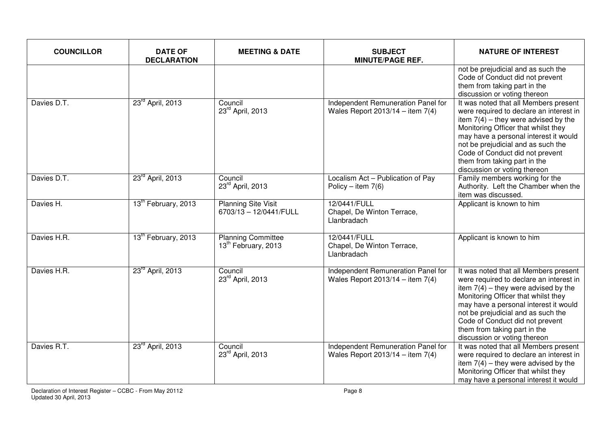| <b>COUNCILLOR</b> | <b>DATE OF</b><br><b>DECLARATION</b> | <b>MEETING &amp; DATE</b>                                    | <b>SUBJECT</b><br><b>MINUTE/PAGE REF.</b>                                | <b>NATURE OF INTEREST</b>                                                                                                                                                                                                                                                                                                                           |
|-------------------|--------------------------------------|--------------------------------------------------------------|--------------------------------------------------------------------------|-----------------------------------------------------------------------------------------------------------------------------------------------------------------------------------------------------------------------------------------------------------------------------------------------------------------------------------------------------|
|                   |                                      |                                                              |                                                                          | not be prejudicial and as such the<br>Code of Conduct did not prevent<br>them from taking part in the<br>discussion or voting thereon                                                                                                                                                                                                               |
| Davies D.T.       | 23rd April, 2013                     | Council<br>23rd April, 2013                                  | Independent Remuneration Panel for<br>Wales Report $2013/14 -$ item 7(4) | It was noted that all Members present<br>were required to declare an interest in<br>item $7(4)$ – they were advised by the<br>Monitoring Officer that whilst they<br>may have a personal interest it would<br>not be prejudicial and as such the<br>Code of Conduct did not prevent<br>them from taking part in the<br>discussion or voting thereon |
| Davies D.T.       | 23 <sup>rd</sup> April, 2013         | Council<br>23rd April, 2013                                  | Localism Act - Publication of Pay<br>Policy – item $7(6)$                | Family members working for the<br>Authority. Left the Chamber when the<br>item was discussed.                                                                                                                                                                                                                                                       |
| Davies H.         | 13 <sup>th</sup> February, 2013      | <b>Planning Site Visit</b><br>6703/13 - 12/0441/FULL         | 12/0441/FULL<br>Chapel, De Winton Terrace,<br>Llanbradach                | Applicant is known to him                                                                                                                                                                                                                                                                                                                           |
| Davies H.R.       | 13 <sup>th</sup> February, 2013      | <b>Planning Committee</b><br>13 <sup>th</sup> February, 2013 | 12/0441/FULL<br>Chapel, De Winton Terrace,<br>Llanbradach                | Applicant is known to him                                                                                                                                                                                                                                                                                                                           |
| Davies H.R.       | 23 <sup>rd</sup> April, 2013         | Council<br>23rd April, 2013                                  | Independent Remuneration Panel for<br>Wales Report $2013/14 -$ item 7(4) | It was noted that all Members present<br>were required to declare an interest in<br>item $7(4)$ – they were advised by the<br>Monitoring Officer that whilst they<br>may have a personal interest it would<br>not be prejudicial and as such the<br>Code of Conduct did not prevent<br>them from taking part in the<br>discussion or voting thereon |
| Davies R.T.       | 23 <sup>rd</sup> April, 2013         | Council<br>23rd April, 2013                                  | Independent Remuneration Panel for<br>Wales Report $2013/14 -$ item 7(4) | It was noted that all Members present<br>were required to declare an interest in<br>item $7(4)$ – they were advised by the<br>Monitoring Officer that whilst they<br>may have a personal interest it would                                                                                                                                          |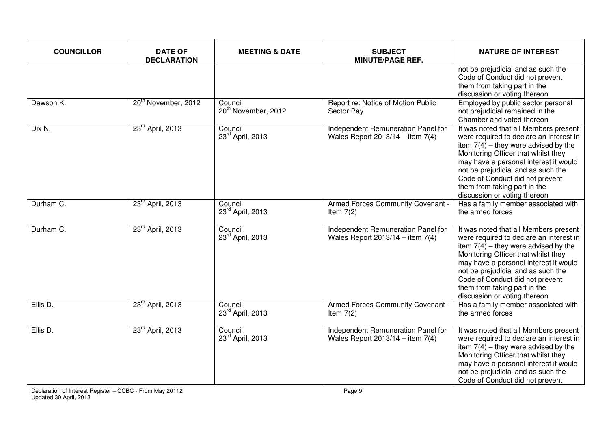| <b>COUNCILLOR</b> | <b>DATE OF</b><br><b>DECLARATION</b> | <b>MEETING &amp; DATE</b>                  | <b>SUBJECT</b><br><b>MINUTE/PAGE REF.</b>                                | <b>NATURE OF INTEREST</b>                                                                                                                                                                                                                                                                                                                           |
|-------------------|--------------------------------------|--------------------------------------------|--------------------------------------------------------------------------|-----------------------------------------------------------------------------------------------------------------------------------------------------------------------------------------------------------------------------------------------------------------------------------------------------------------------------------------------------|
|                   |                                      |                                            |                                                                          | not be prejudicial and as such the<br>Code of Conduct did not prevent<br>them from taking part in the<br>discussion or voting thereon                                                                                                                                                                                                               |
| Dawson K.         | 20 <sup>th</sup> November, 2012      | Council<br>20 <sup>th</sup> November, 2012 | Report re: Notice of Motion Public<br>Sector Pay                         | Employed by public sector personal<br>not prejudicial remained in the<br>Chamber and voted thereon                                                                                                                                                                                                                                                  |
| Dix N.            | 23 <sup>rd</sup> April, 2013         | Council<br>23rd April, 2013                | Independent Remuneration Panel for<br>Wales Report $2013/14 -$ item 7(4) | It was noted that all Members present<br>were required to declare an interest in<br>item $7(4)$ – they were advised by the<br>Monitoring Officer that whilst they<br>may have a personal interest it would<br>not be prejudicial and as such the<br>Code of Conduct did not prevent<br>them from taking part in the<br>discussion or voting thereon |
| Durham C.         | 23 <sup>rd</sup> April, 2013         | Council<br>23rd April, 2013                | Armed Forces Community Covenant -<br>Item $7(2)$                         | Has a family member associated with<br>the armed forces                                                                                                                                                                                                                                                                                             |
| Durham C.         | 23 <sup>rd</sup> April, 2013         | Council<br>23 <sup>rd</sup> April, 2013    | Independent Remuneration Panel for<br>Wales Report $2013/14 -$ item 7(4) | It was noted that all Members present<br>were required to declare an interest in<br>item $7(4)$ – they were advised by the<br>Monitoring Officer that whilst they<br>may have a personal interest it would<br>not be prejudicial and as such the<br>Code of Conduct did not prevent<br>them from taking part in the<br>discussion or voting thereon |
| Ellis D.          | 23rd April, 2013                     | Council<br>23rd April, 2013                | Armed Forces Community Covenant -<br>Item $7(2)$                         | Has a family member associated with<br>the armed forces                                                                                                                                                                                                                                                                                             |
| Ellis D.          | 23 <sup>rd</sup> April, 2013         | Council<br>23rd April, 2013                | Independent Remuneration Panel for<br>Wales Report $2013/14 -$ item 7(4) | It was noted that all Members present<br>were required to declare an interest in<br>item $7(4)$ – they were advised by the<br>Monitoring Officer that whilst they<br>may have a personal interest it would<br>not be prejudicial and as such the<br>Code of Conduct did not prevent                                                                 |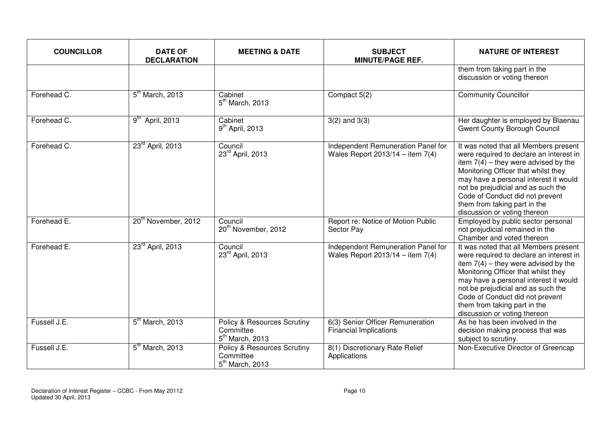| <b>COUNCILLOR</b> | <b>DATE OF</b><br><b>DECLARATION</b> | <b>MEETING &amp; DATE</b>                                                | <b>SUBJECT</b><br><b>MINUTE/PAGE REF.</b>                                | <b>NATURE OF INTEREST</b>                                                                                                                                                                                                                                                                                                                           |
|-------------------|--------------------------------------|--------------------------------------------------------------------------|--------------------------------------------------------------------------|-----------------------------------------------------------------------------------------------------------------------------------------------------------------------------------------------------------------------------------------------------------------------------------------------------------------------------------------------------|
|                   |                                      |                                                                          |                                                                          | them from taking part in the<br>discussion or voting thereon                                                                                                                                                                                                                                                                                        |
| Forehead C.       | 5 <sup>th</sup> March, 2013          | Cabinet<br>$5th$ March, 2013                                             | Compact 5(2)                                                             | <b>Community Councillor</b>                                                                                                                                                                                                                                                                                                                         |
| Forehead C.       | $9th$ April, 2013                    | Cabinet<br>$9th$ April, 2013                                             | $3(2)$ and $3(3)$                                                        | Her daughter is employed by Blaenau<br><b>Gwent County Borough Council</b>                                                                                                                                                                                                                                                                          |
| Forehead C.       | 23 <sup>rd</sup> April, 2013         | Council<br>23rd April, 2013                                              | Independent Remuneration Panel for<br>Wales Report $2013/14 -$ item 7(4) | It was noted that all Members present<br>were required to declare an interest in<br>item $7(4)$ – they were advised by the<br>Monitoring Officer that whilst they<br>may have a personal interest it would<br>not be prejudicial and as such the<br>Code of Conduct did not prevent<br>them from taking part in the<br>discussion or voting thereon |
| Forehead E.       | 20 <sup>th</sup> November, 2012      | Council<br>20 <sup>th</sup> November, 2012                               | Report re: Notice of Motion Public<br>Sector Pay                         | Employed by public sector personal<br>not prejudicial remained in the<br>Chamber and voted thereon                                                                                                                                                                                                                                                  |
| Forehead E.       | 23 <sup>rd</sup> April, 2013         | Council<br>23 <sup>rd</sup> April, 2013                                  | Independent Remuneration Panel for<br>Wales Report $2013/14 -$ item 7(4) | It was noted that all Members present<br>were required to declare an interest in<br>item $7(4)$ - they were advised by the<br>Monitoring Officer that whilst they<br>may have a personal interest it would<br>not be prejudicial and as such the<br>Code of Conduct did not prevent<br>them from taking part in the<br>discussion or voting thereon |
| Fussell J.E.      | 5 <sup>th</sup> March, 2013          | Policy & Resources Scrutiny<br>Committee<br>$5th$ March, 2013            | 6(3) Senior Officer Remuneration<br><b>Financial Implications</b>        | As he has been involved in the<br>decision making process that was<br>subject to scrutiny.                                                                                                                                                                                                                                                          |
| Fussell J.E.      | $5th$ March, 2013                    | <b>Policy &amp; Resources Scrutiny</b><br>Committee<br>$5th$ March, 2013 | 8(1) Discretionary Rate Relief<br>Applications                           | Non-Executive Director of Greencap                                                                                                                                                                                                                                                                                                                  |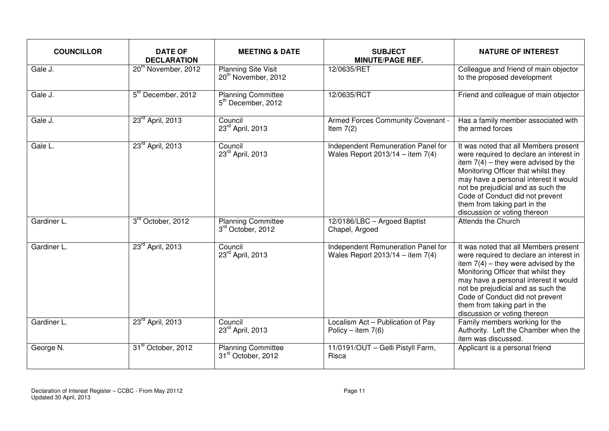| <b>COUNCILLOR</b> | <b>DATE OF</b><br><b>DECLARATION</b> | <b>MEETING &amp; DATE</b>                                     | <b>SUBJECT</b><br><b>MINUTE/PAGE REF.</b>                                  | <b>NATURE OF INTEREST</b>                                                                                                                                                                                                                                                                                                                           |
|-------------------|--------------------------------------|---------------------------------------------------------------|----------------------------------------------------------------------------|-----------------------------------------------------------------------------------------------------------------------------------------------------------------------------------------------------------------------------------------------------------------------------------------------------------------------------------------------------|
| Gale J.           | 20 <sup>th</sup> November, 2012      | <b>Planning Site Visit</b><br>20 <sup>th</sup> November, 2012 | 12/0635/RET                                                                | Colleague and friend of main objector<br>to the proposed development                                                                                                                                                                                                                                                                                |
| Gale J.           | 5 <sup>th</sup> December, 2012       | <b>Planning Committee</b><br>5 <sup>th</sup> December, 2012   | 12/0635/RCT                                                                | Friend and colleague of main objector                                                                                                                                                                                                                                                                                                               |
| Gale J.           | 23 <sup>rd</sup> April, 2013         | Council<br>23rd April, 2013                                   | Armed Forces Community Covenant -<br>Item $7(2)$                           | Has a family member associated with<br>the armed forces                                                                                                                                                                                                                                                                                             |
| Gale L.           | 23rd April, 2013                     | Council<br>23rd April, 2013                                   | Independent Remuneration Panel for<br>Wales Report $2013/14 -$ item 7(4)   | It was noted that all Members present<br>were required to declare an interest in<br>item $7(4)$ – they were advised by the<br>Monitoring Officer that whilst they<br>may have a personal interest it would<br>not be prejudicial and as such the<br>Code of Conduct did not prevent<br>them from taking part in the<br>discussion or voting thereon |
| Gardiner L.       | 3rd October, 2012                    | <b>Planning Committee</b><br>3rd October, 2012                | 12/0186/LBC - Argoed Baptist<br>Chapel, Argoed                             | <b>Attends the Church</b>                                                                                                                                                                                                                                                                                                                           |
| Gardiner L.       | 23 <sup>rd</sup> April, 2013         | Council<br>23rd April, 2013                                   | Independent Remuneration Panel for<br>Wales Report $2013/14 -$ item $7(4)$ | It was noted that all Members present<br>were required to declare an interest in<br>item $7(4)$ – they were advised by the<br>Monitoring Officer that whilst they<br>may have a personal interest it would<br>not be prejudicial and as such the<br>Code of Conduct did not prevent<br>them from taking part in the<br>discussion or voting thereon |
| Gardiner L.       | 23 <sup>rd</sup> April, 2013         | Council<br>23rd April, 2013                                   | Localism Act - Publication of Pay<br>Policy – item $7(6)$                  | Family members working for the<br>Authority. Left the Chamber when the<br>item was discussed.                                                                                                                                                                                                                                                       |
| George N.         | 31 <sup>st</sup> October, 2012       | <b>Planning Committee</b><br>31 <sup>st</sup> October, 2012   | 11/0191/OUT - Gelli Pistyll Farm,<br>Risca                                 | Applicant is a personal friend                                                                                                                                                                                                                                                                                                                      |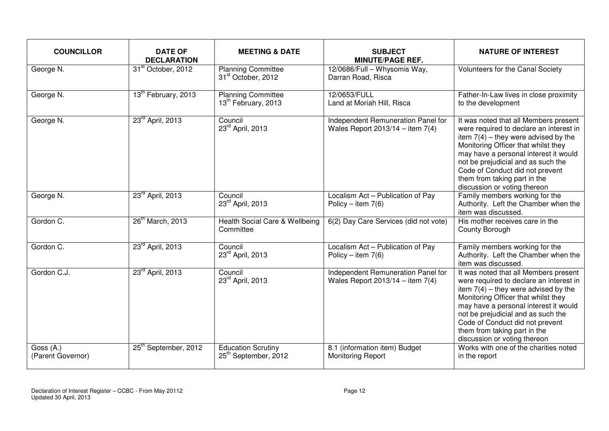| <b>COUNCILLOR</b>              | <b>DATE OF</b><br><b>DECLARATION</b> | <b>MEETING &amp; DATE</b>                                     | <b>SUBJECT</b><br><b>MINUTE/PAGE REF.</b>                                | <b>NATURE OF INTEREST</b>                                                                                                                                                                                                                                                                                                                           |
|--------------------------------|--------------------------------------|---------------------------------------------------------------|--------------------------------------------------------------------------|-----------------------------------------------------------------------------------------------------------------------------------------------------------------------------------------------------------------------------------------------------------------------------------------------------------------------------------------------------|
| George N.                      | 31 <sup>st</sup> October, 2012       | <b>Planning Committee</b><br>31 <sup>st</sup> October, 2012   | 12/0686/Full - Whysomis Way,<br>Darran Road, Risca                       | Volunteers for the Canal Society                                                                                                                                                                                                                                                                                                                    |
| George N.                      | 13 <sup>th</sup> February, 2013      | <b>Planning Committee</b><br>13 <sup>th</sup> February, 2013  | 12/0653/FULL<br>Land at Moriah Hill, Risca                               | Father-In-Law lives in close proximity<br>to the development                                                                                                                                                                                                                                                                                        |
| George N.                      | 23 <sup>rd</sup> April, 2013         | Council<br>23rd April, 2013                                   | Independent Remuneration Panel for<br>Wales Report $2013/14 -$ item 7(4) | It was noted that all Members present<br>were required to declare an interest in<br>item $7(4)$ – they were advised by the<br>Monitoring Officer that whilst they<br>may have a personal interest it would<br>not be prejudicial and as such the<br>Code of Conduct did not prevent<br>them from taking part in the<br>discussion or voting thereon |
| George N.                      | 23rd April, 2013                     | Council<br>23rd April, 2013                                   | Localism Act - Publication of Pay<br>Policy – item $7(6)$                | Family members working for the<br>Authority. Left the Chamber when the<br>item was discussed.                                                                                                                                                                                                                                                       |
| Gordon C.                      | 26 <sup>th</sup> March, 2013         | Health Social Care & Wellbeing<br>Committee                   | 6(2) Day Care Services (did not vote)                                    | His mother receives care in the<br>County Borough                                                                                                                                                                                                                                                                                                   |
| Gordon C.                      | 23 <sup>rd</sup> April, 2013         | Council<br>23rd April, 2013                                   | Localism Act - Publication of Pay<br>Policy – item $7(6)$                | Family members working for the<br>Authority. Left the Chamber when the<br>item was discussed.                                                                                                                                                                                                                                                       |
| Gordon C.J.                    | 23 <sup>rd</sup> April, 2013         | Council<br>23rd April, 2013                                   | Independent Remuneration Panel for<br>Wales Report $2013/14 -$ item 7(4) | It was noted that all Members present<br>were required to declare an interest in<br>item $7(4)$ - they were advised by the<br>Monitoring Officer that whilst they<br>may have a personal interest it would<br>not be prejudicial and as such the<br>Code of Conduct did not prevent<br>them from taking part in the<br>discussion or voting thereon |
| Goss (A.)<br>(Parent Governor) | 25 <sup>th</sup> September, 2012     | <b>Education Scrutiny</b><br>25 <sup>th</sup> September, 2012 | 8.1 (information item) Budget<br><b>Monitoring Report</b>                | Works with one of the charities noted<br>in the report                                                                                                                                                                                                                                                                                              |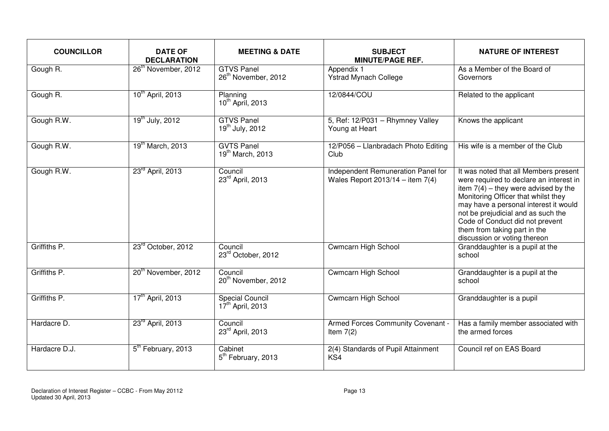| <b>COUNCILLOR</b> | <b>DATE OF</b><br><b>DECLARATION</b> | <b>MEETING &amp; DATE</b>                              | <b>SUBJECT</b><br><b>MINUTE/PAGE REF.</b>                                | <b>NATURE OF INTEREST</b>                                                                                                                                                                                                                                                                                                                           |
|-------------------|--------------------------------------|--------------------------------------------------------|--------------------------------------------------------------------------|-----------------------------------------------------------------------------------------------------------------------------------------------------------------------------------------------------------------------------------------------------------------------------------------------------------------------------------------------------|
| Gough R.          | 26 <sup>th</sup> November, 2012      | <b>GTVS Panel</b><br>26 <sup>th</sup> November, 2012   | Appendix 1<br><b>Ystrad Mynach College</b>                               | As a Member of the Board of<br>Governors                                                                                                                                                                                                                                                                                                            |
| Gough R.          | 10 <sup>th</sup> April, 2013         | Planning<br>10 <sup>th</sup> April, 2013               | 12/0844/COU                                                              | Related to the applicant                                                                                                                                                                                                                                                                                                                            |
| Gough R.W.        | $19^{th}$ July, 2012                 | <b>GTVS Panel</b><br>$19^{th}$ July, 2012              | 5, Ref: 12/P031 - Rhymney Valley<br>Young at Heart                       | Knows the applicant                                                                                                                                                                                                                                                                                                                                 |
| Gough R.W.        | 19 <sup>th</sup> March, 2013         | <b>GVTS Panel</b><br>19 <sup>th</sup> March, 2013      | 12/P056 - Llanbradach Photo Editing<br>Club                              | His wife is a member of the Club                                                                                                                                                                                                                                                                                                                    |
| Gough R.W.        | 23 <sup>rd</sup> April, 2013         | Council<br>23rd April, 2013                            | Independent Remuneration Panel for<br>Wales Report 2013/14 - item $7(4)$ | It was noted that all Members present<br>were required to declare an interest in<br>item $7(4)$ – they were advised by the<br>Monitoring Officer that whilst they<br>may have a personal interest it would<br>not be prejudicial and as such the<br>Code of Conduct did not prevent<br>them from taking part in the<br>discussion or voting thereon |
| Griffiths P.      | 23rd October, 2012                   | Council<br>23rd October, 2012                          | <b>Cwmcarn High School</b>                                               | Granddaughter is a pupil at the<br>school                                                                                                                                                                                                                                                                                                           |
| Griffiths P.      | 20 <sup>th</sup> November, 2012      | Council<br>20 <sup>th</sup> November, 2012             | <b>Cwmcarn High School</b>                                               | Granddaughter is a pupil at the<br>school                                                                                                                                                                                                                                                                                                           |
| Griffiths P.      | 17 <sup>th</sup> April, 2013         | <b>Special Council</b><br>17 <sup>th</sup> April, 2013 | <b>Cwmcarn High School</b>                                               | Granddaughter is a pupil                                                                                                                                                                                                                                                                                                                            |
| Hardacre D.       | 23rd April, 2013                     | Council<br>23rd April, 2013                            | Armed Forces Community Covenant -<br>Item $7(2)$                         | Has a family member associated with<br>the armed forces                                                                                                                                                                                                                                                                                             |
| Hardacre D.J.     | 5 <sup>th</sup> February, 2013       | Cabinet<br>5 <sup>th</sup> February, 2013              | 2(4) Standards of Pupil Attainment<br>KS4                                | Council ref on EAS Board                                                                                                                                                                                                                                                                                                                            |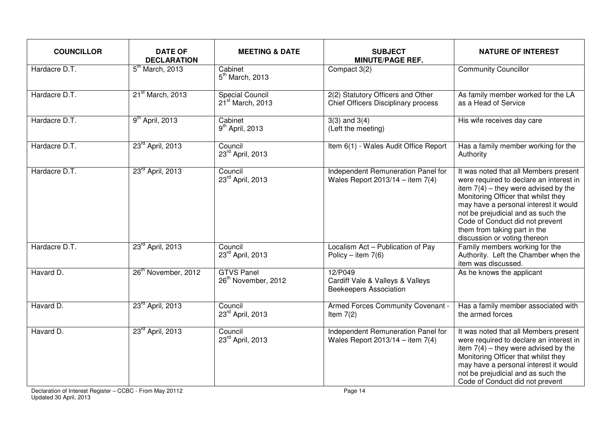| <b>COUNCILLOR</b> | <b>DATE OF</b><br><b>DECLARATION</b> | <b>MEETING &amp; DATE</b>                            | <b>SUBJECT</b><br><b>MINUTE/PAGE REF.</b>                                    | <b>NATURE OF INTEREST</b>                                                                                                                                                                                                                                                                                                                           |
|-------------------|--------------------------------------|------------------------------------------------------|------------------------------------------------------------------------------|-----------------------------------------------------------------------------------------------------------------------------------------------------------------------------------------------------------------------------------------------------------------------------------------------------------------------------------------------------|
| Hardacre D.T.     | 5 <sup>th</sup> March, 2013          | Cabinet<br>$5th$ March, 2013                         | Compact 3(2)                                                                 | <b>Community Councillor</b>                                                                                                                                                                                                                                                                                                                         |
| Hardacre D.T.     | 21 <sup>st</sup> March, 2013         | <b>Special Council</b><br>$21st$ March, 2013         | 2(2) Statutory Officers and Other<br>Chief Officers Disciplinary process     | As family member worked for the LA<br>as a Head of Service                                                                                                                                                                                                                                                                                          |
| Hardacre D.T.     | 9 <sup>th</sup> April, 2013          | Cabinet<br>9 <sup>th</sup> April, 2013               | $3(3)$ and $3(4)$<br>(Left the meeting)                                      | His wife receives day care                                                                                                                                                                                                                                                                                                                          |
| Hardacre D.T.     | 23 <sup>rd</sup> April, 2013         | Council<br>23rd April, 2013                          | Item 6(1) - Wales Audit Office Report                                        | Has a family member working for the<br>Authority                                                                                                                                                                                                                                                                                                    |
| Hardacre D.T.     | $23^{rd}$ April, 2013                | Council<br>23rd April, 2013                          | Independent Remuneration Panel for<br>Wales Report $2013/14 -$ item 7(4)     | It was noted that all Members present<br>were required to declare an interest in<br>item $7(4)$ – they were advised by the<br>Monitoring Officer that whilst they<br>may have a personal interest it would<br>not be prejudicial and as such the<br>Code of Conduct did not prevent<br>them from taking part in the<br>discussion or voting thereon |
| Hardacre D.T.     | 23 <sup>rd</sup> April, 2013         | Council<br>23rd April, 2013                          | Localism Act - Publication of Pay<br>Policy - item $7(6)$                    | Family members working for the<br>Authority. Left the Chamber when the<br>item was discussed.                                                                                                                                                                                                                                                       |
| Havard D.         | 26 <sup>th</sup> November, 2012      | <b>GTVS Panel</b><br>26 <sup>th</sup> November, 2012 | 12/P049<br>Cardiff Vale & Valleys & Valleys<br><b>Beekeepers Association</b> | As he knows the applicant                                                                                                                                                                                                                                                                                                                           |
| Havard D.         | 23rd April, 2013                     | Council<br>23rd April, 2013                          | Armed Forces Community Covenant -<br>Item $7(2)$                             | Has a family member associated with<br>the armed forces                                                                                                                                                                                                                                                                                             |
| Havard D.         | 23 <sup>rd</sup> April, 2013         | Council<br>23rd April, 2013                          | Independent Remuneration Panel for<br>Wales Report $2013/14 -$ item $7(4)$   | It was noted that all Members present<br>were required to declare an interest in<br>item $7(4)$ – they were advised by the<br>Monitoring Officer that whilst they<br>may have a personal interest it would<br>not be prejudicial and as such the<br>Code of Conduct did not prevent                                                                 |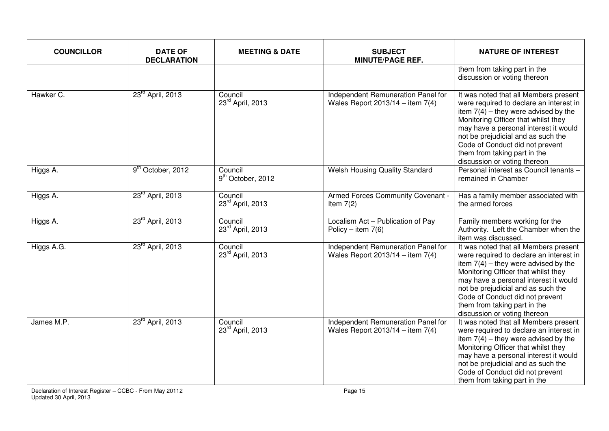| <b>COUNCILLOR</b> | <b>DATE OF</b><br><b>DECLARATION</b> | <b>MEETING &amp; DATE</b>                | <b>SUBJECT</b><br><b>MINUTE/PAGE REF.</b>                                | <b>NATURE OF INTEREST</b>                                                                                                                                                                                                                                                                                                                           |
|-------------------|--------------------------------------|------------------------------------------|--------------------------------------------------------------------------|-----------------------------------------------------------------------------------------------------------------------------------------------------------------------------------------------------------------------------------------------------------------------------------------------------------------------------------------------------|
|                   |                                      |                                          |                                                                          | them from taking part in the<br>discussion or voting thereon                                                                                                                                                                                                                                                                                        |
| Hawker C.         | 23 <sup>rd</sup> April, 2013         | Council<br>23rd April, 2013              | Independent Remuneration Panel for<br>Wales Report $2013/14 -$ item 7(4) | It was noted that all Members present<br>were required to declare an interest in<br>item $7(4)$ – they were advised by the<br>Monitoring Officer that whilst they<br>may have a personal interest it would<br>not be prejudicial and as such the<br>Code of Conduct did not prevent<br>them from taking part in the<br>discussion or voting thereon |
| Higgs A.          | 9 <sup>th</sup> October, 2012        | Council<br>9 <sup>th</sup> October, 2012 | <b>Welsh Housing Quality Standard</b>                                    | Personal interest as Council tenants -<br>remained in Chamber                                                                                                                                                                                                                                                                                       |
| Higgs A.          | 23rd April, 2013                     | Council<br>23rd April, 2013              | Armed Forces Community Covenant -<br>Item $7(2)$                         | Has a family member associated with<br>the armed forces                                                                                                                                                                                                                                                                                             |
| Higgs A.          | 23 <sup>rd</sup> April, 2013         | Council<br>23rd April, 2013              | Localism Act - Publication of Pay<br>Policy – item $7(6)$                | Family members working for the<br>Authority. Left the Chamber when the<br>item was discussed.                                                                                                                                                                                                                                                       |
| Higgs A.G.        | 23 <sup>rd</sup> April, 2013         | Council<br>23rd April, 2013              | Independent Remuneration Panel for<br>Wales Report $2013/14 -$ item 7(4) | It was noted that all Members present<br>were required to declare an interest in<br>item $7(4)$ – they were advised by the<br>Monitoring Officer that whilst they<br>may have a personal interest it would<br>not be prejudicial and as such the<br>Code of Conduct did not prevent<br>them from taking part in the<br>discussion or voting thereon |
| James M.P.        | 23rd April, 2013                     | Council<br>23rd April, 2013              | Independent Remuneration Panel for<br>Wales Report $2013/14 -$ item 7(4) | It was noted that all Members present<br>were required to declare an interest in<br>item $7(4)$ – they were advised by the<br>Monitoring Officer that whilst they<br>may have a personal interest it would<br>not be prejudicial and as such the<br>Code of Conduct did not prevent<br>them from taking part in the                                 |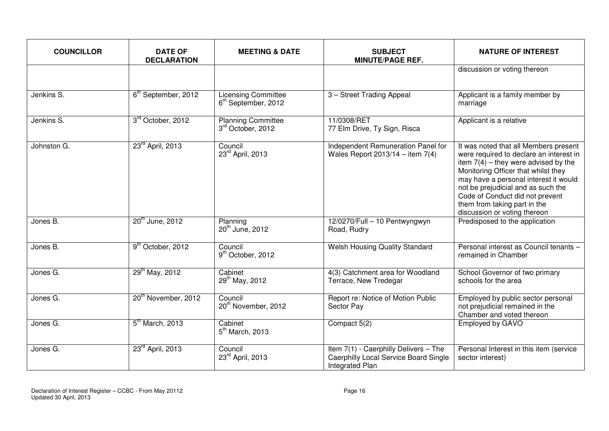| <b>COUNCILLOR</b> | <b>DATE OF</b><br><b>DECLARATION</b> | <b>MEETING &amp; DATE</b>                                     | <b>SUBJECT</b><br><b>MINUTE/PAGE REF.</b>                                                                | <b>NATURE OF INTEREST</b>                                                                                                                                                                                                                                                                                                                           |
|-------------------|--------------------------------------|---------------------------------------------------------------|----------------------------------------------------------------------------------------------------------|-----------------------------------------------------------------------------------------------------------------------------------------------------------------------------------------------------------------------------------------------------------------------------------------------------------------------------------------------------|
|                   |                                      |                                                               |                                                                                                          | discussion or voting thereon                                                                                                                                                                                                                                                                                                                        |
| Jenkins S.        | 6 <sup>th</sup> September, 2012      | <b>Licensing Committee</b><br>6 <sup>th</sup> September, 2012 | 3 - Street Trading Appeal                                                                                | Applicant is a family member by<br>marriage                                                                                                                                                                                                                                                                                                         |
| Jenkins S.        | 3rd October, 2012                    | <b>Planning Committee</b><br>3rd October, 2012                | 11/0308/RET<br>77 Elm Drive, Ty Sign, Risca                                                              | Applicant is a relative                                                                                                                                                                                                                                                                                                                             |
| Johnston G.       | 23 <sup>rd</sup> April, 2013         | Council<br>23rd April, 2013                                   | Independent Remuneration Panel for<br>Wales Report $2013/14 -$ item 7(4)                                 | It was noted that all Members present<br>were required to declare an interest in<br>item $7(4)$ – they were advised by the<br>Monitoring Officer that whilst they<br>may have a personal interest it would<br>not be prejudicial and as such the<br>Code of Conduct did not prevent<br>them from taking part in the<br>discussion or voting thereon |
| Jones B.          | 20 <sup>th</sup> June, 2012          | Planning<br>20 <sup>th</sup> June, 2012                       | 12/0270/Full - 10 Pentwyngwyn<br>Road, Rudry                                                             | Predisposed to the application                                                                                                                                                                                                                                                                                                                      |
| Jones B.          | 9 <sup>th</sup> October, 2012        | Council<br>9 <sup>th</sup> October, 2012                      | <b>Welsh Housing Quality Standard</b>                                                                    | Personal interest as Council tenants -<br>remained in Chamber                                                                                                                                                                                                                                                                                       |
| Jones G.          | 29 <sup>th</sup> May, 2012           | Cabinet<br>29 <sup>th</sup> May, 2012                         | 4(3) Catchment area for Woodland<br>Terrace, New Tredegar                                                | School Governor of two primary<br>schools for the area                                                                                                                                                                                                                                                                                              |
| Jones G.          | 20 <sup>th</sup> November, 2012      | Council<br>20 <sup>th</sup> November, 2012                    | Report re: Notice of Motion Public<br>Sector Pay                                                         | Employed by public sector personal<br>not prejudicial remained in the<br>Chamber and voted thereon                                                                                                                                                                                                                                                  |
| Jones G.          | $5th$ March, 2013                    | Cabinet<br>$5th$ March, 2013                                  | Compact 5(2)                                                                                             | Employed by GAVO                                                                                                                                                                                                                                                                                                                                    |
| Jones G.          | 23 <sup>rd</sup> April, 2013         | Council<br>23rd April, 2013                                   | Item 7(1) - Caerphilly Delivers - The<br>Caerphilly Local Service Board Single<br><b>Integrated Plan</b> | Personal Interest in this item (service<br>sector interest)                                                                                                                                                                                                                                                                                         |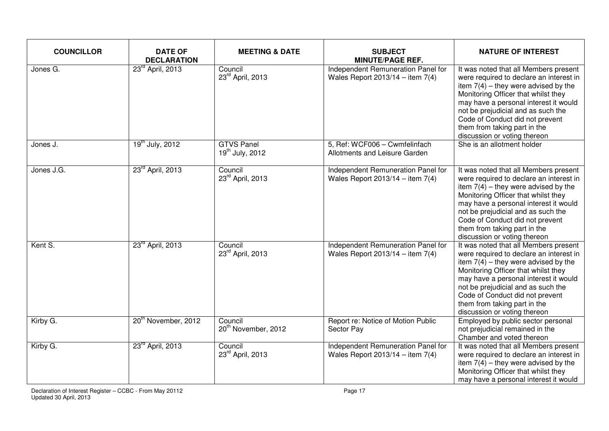| <b>COUNCILLOR</b> | <b>DATE OF</b><br><b>DECLARATION</b> | <b>MEETING &amp; DATE</b>                  | <b>SUBJECT</b><br><b>MINUTE/PAGE REF.</b>                                | <b>NATURE OF INTEREST</b>                                                                                                                                                                                                                                                                                                                           |
|-------------------|--------------------------------------|--------------------------------------------|--------------------------------------------------------------------------|-----------------------------------------------------------------------------------------------------------------------------------------------------------------------------------------------------------------------------------------------------------------------------------------------------------------------------------------------------|
| Jones G.          | 23rd April, 2013                     | Council<br>23rd April, 2013                | Independent Remuneration Panel for<br>Wales Report 2013/14 - item $7(4)$ | It was noted that all Members present<br>were required to declare an interest in<br>item $7(4)$ – they were advised by the<br>Monitoring Officer that whilst they<br>may have a personal interest it would<br>not be prejudicial and as such the<br>Code of Conduct did not prevent<br>them from taking part in the<br>discussion or voting thereon |
| Jones J.          | 19 <sup>th</sup> July, 2012          | <b>GTVS Panel</b><br>$19^{th}$ July, 2012  | 5, Ref: WCF006 - Cwmfelinfach<br>Allotments and Leisure Garden           | She is an allotment holder                                                                                                                                                                                                                                                                                                                          |
| Jones J.G.        | 23 <sup>rd</sup> April, 2013         | Council<br>23rd April, 2013                | Independent Remuneration Panel for<br>Wales Report $2013/14 -$ item 7(4) | It was noted that all Members present<br>were required to declare an interest in<br>item $7(4)$ – they were advised by the<br>Monitoring Officer that whilst they<br>may have a personal interest it would<br>not be prejudicial and as such the<br>Code of Conduct did not prevent<br>them from taking part in the<br>discussion or voting thereon |
| Kent S.           | 23 <sup>rd</sup> April, 2013         | Council<br>23rd April, 2013                | Independent Remuneration Panel for<br>Wales Report $2013/14 -$ item 7(4) | It was noted that all Members present<br>were required to declare an interest in<br>item $7(4)$ – they were advised by the<br>Monitoring Officer that whilst they<br>may have a personal interest it would<br>not be prejudicial and as such the<br>Code of Conduct did not prevent<br>them from taking part in the<br>discussion or voting thereon |
| Kirby G.          | 20 <sup>th</sup> November, 2012      | Council<br>20 <sup>th</sup> November, 2012 | Report re: Notice of Motion Public<br>Sector Pay                         | Employed by public sector personal<br>not prejudicial remained in the<br>Chamber and voted thereon                                                                                                                                                                                                                                                  |
| Kirby G.          | 23rd April, 2013                     | Council<br>23rd April, 2013                | Independent Remuneration Panel for<br>Wales Report $2013/14 -$ item 7(4) | It was noted that all Members present<br>were required to declare an interest in<br>item $7(4)$ – they were advised by the<br>Monitoring Officer that whilst they<br>may have a personal interest it would                                                                                                                                          |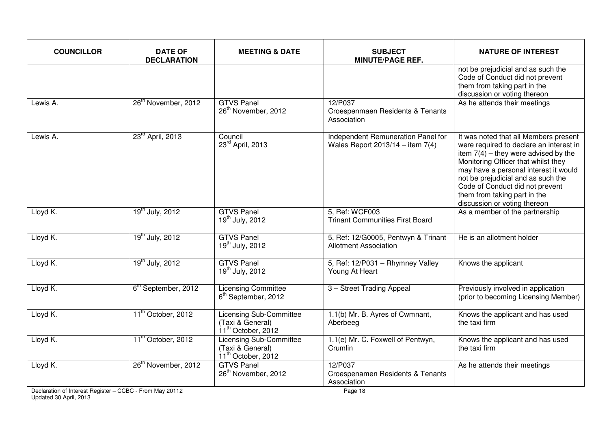| <b>COUNCILLOR</b> | <b>DATE OF</b><br><b>DECLARATION</b> | <b>MEETING &amp; DATE</b>                                                            | <b>SUBJECT</b><br><b>MINUTE/PAGE REF.</b>                                | <b>NATURE OF INTEREST</b>                                                                                                                                                                                                                                                                                                                           |
|-------------------|--------------------------------------|--------------------------------------------------------------------------------------|--------------------------------------------------------------------------|-----------------------------------------------------------------------------------------------------------------------------------------------------------------------------------------------------------------------------------------------------------------------------------------------------------------------------------------------------|
|                   |                                      |                                                                                      |                                                                          | not be prejudicial and as such the<br>Code of Conduct did not prevent<br>them from taking part in the<br>discussion or voting thereon                                                                                                                                                                                                               |
| Lewis A.          | 26 <sup>th</sup> November, 2012      | <b>GTVS Panel</b><br>26 <sup>th</sup> November, 2012                                 | 12/P037<br>Croespenmaen Residents & Tenants<br>Association               | As he attends their meetings                                                                                                                                                                                                                                                                                                                        |
| Lewis A.          | 23 <sup>rd</sup> April, 2013         | Council<br>23rd April, 2013                                                          | Independent Remuneration Panel for<br>Wales Report $2013/14 -$ item 7(4) | It was noted that all Members present<br>were required to declare an interest in<br>item $7(4)$ – they were advised by the<br>Monitoring Officer that whilst they<br>may have a personal interest it would<br>not be prejudicial and as such the<br>Code of Conduct did not prevent<br>them from taking part in the<br>discussion or voting thereon |
| Lloyd K.          | 19 <sup>th</sup> July, 2012          | <b>GTVS Panel</b><br>$19^{th}$ July, 2012                                            | 5, Ref: WCF003<br><b>Trinant Communities First Board</b>                 | As a member of the partnership                                                                                                                                                                                                                                                                                                                      |
| Lloyd K.          | $19^{th}$ July, 2012                 | <b>GTVS Panel</b><br>19 <sup>th</sup> July, 2012                                     | 5, Ref: 12/G0005, Pentwyn & Trinant<br><b>Allotment Association</b>      | He is an allotment holder                                                                                                                                                                                                                                                                                                                           |
| Lloyd K.          | $19^{th}$ July, 2012                 | <b>GTVS Panel</b><br>$19^{th}$ July, 2012                                            | 5, Ref: 12/P031 - Rhymney Valley<br>Young At Heart                       | Knows the applicant                                                                                                                                                                                                                                                                                                                                 |
| Lloyd K.          | 6 <sup>th</sup> September, 2012      | <b>Licensing Committee</b><br>6 <sup>th</sup> September, 2012                        | 3 - Street Trading Appeal                                                | Previously involved in application<br>(prior to becoming Licensing Member)                                                                                                                                                                                                                                                                          |
| Lloyd K.          | 11 <sup>th</sup> October, 2012       | <b>Licensing Sub-Committee</b><br>(Taxi & General)<br>$11^{th}$ October, 2012        | 1.1(b) Mr. B. Ayres of Cwmnant,<br>Aberbeeg                              | Knows the applicant and has used<br>the taxi firm                                                                                                                                                                                                                                                                                                   |
| Lloyd K.          | 11 <sup>th</sup> October, 2012       | <b>Licensing Sub-Committee</b><br>(Taxi & General)<br>11 <sup>th</sup> October, 2012 | 1.1(e) Mr. C. Foxwell of Pentwyn,<br>Crumlin                             | Knows the applicant and has used<br>the taxi firm                                                                                                                                                                                                                                                                                                   |
| Lloyd K.          | 26 <sup>th</sup> November, 2012      | <b>GTVS Panel</b><br>26 <sup>th</sup> November, 2012                                 | 12/P037<br>Croespenamen Residents & Tenants<br>Association               | As he attends their meetings                                                                                                                                                                                                                                                                                                                        |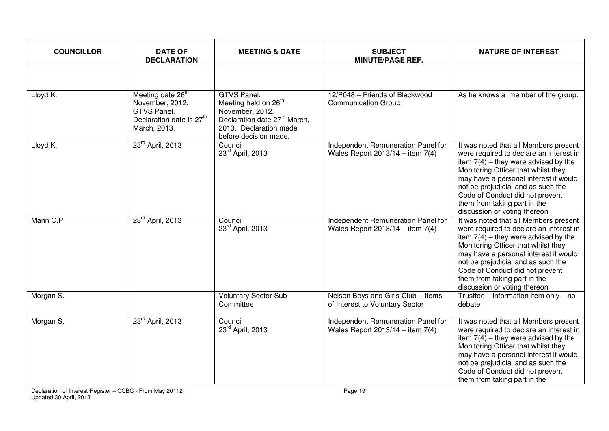| <b>COUNCILLOR</b> | <b>DATE OF</b><br><b>DECLARATION</b>                                                                                    | <b>MEETING &amp; DATE</b>                                                                                                                                         | <b>SUBJECT</b><br><b>MINUTE/PAGE REF.</b>                                  | <b>NATURE OF INTEREST</b>                                                                                                                                                                                                                                                                                                                           |
|-------------------|-------------------------------------------------------------------------------------------------------------------------|-------------------------------------------------------------------------------------------------------------------------------------------------------------------|----------------------------------------------------------------------------|-----------------------------------------------------------------------------------------------------------------------------------------------------------------------------------------------------------------------------------------------------------------------------------------------------------------------------------------------------|
|                   |                                                                                                                         |                                                                                                                                                                   |                                                                            |                                                                                                                                                                                                                                                                                                                                                     |
| Lloyd K.          | Meeting date 26 <sup>th</sup><br>November, 2012.<br>GTVS Panel.<br>Declaration date is 27 <sup>th</sup><br>March, 2013. | GTVS Panel.<br>Meeting held on 26 <sup>th</sup><br>November, 2012.<br>Declaration date 27 <sup>th</sup> March,<br>2013. Declaration made<br>before decision made. | 12/P048 - Friends of Blackwood<br><b>Communication Group</b>               | As he knows a member of the group.                                                                                                                                                                                                                                                                                                                  |
| Lloyd K.          | 23rd April, 2013                                                                                                        | Council<br>23rd April, 2013                                                                                                                                       | Independent Remuneration Panel for<br>Wales Report $2013/14 -$ item $7(4)$ | It was noted that all Members present<br>were required to declare an interest in<br>item $7(4)$ – they were advised by the<br>Monitoring Officer that whilst they<br>may have a personal interest it would<br>not be prejudicial and as such the<br>Code of Conduct did not prevent<br>them from taking part in the<br>discussion or voting thereon |
| Mann C.P          | 23 <sup>rd</sup> April, 2013                                                                                            | Council<br>23rd April, 2013                                                                                                                                       | Independent Remuneration Panel for<br>Wales Report $2013/14 -$ item 7(4)   | It was noted that all Members present<br>were required to declare an interest in<br>item $7(4)$ - they were advised by the<br>Monitoring Officer that whilst they<br>may have a personal interest it would<br>not be prejudicial and as such the<br>Code of Conduct did not prevent<br>them from taking part in the<br>discussion or voting thereon |
| Morgan S.         |                                                                                                                         | <b>Voluntary Sector Sub-</b><br>Committee                                                                                                                         | Nelson Boys and Girls Club - Items<br>of Interest to Voluntary Sector      | Trusttee – information item only – no<br>debate                                                                                                                                                                                                                                                                                                     |
| Morgan S.         | 23 <sup>rd</sup> April, 2013                                                                                            | Council<br>23rd April, 2013                                                                                                                                       | Independent Remuneration Panel for<br>Wales Report $2013/14 -$ item 7(4)   | It was noted that all Members present<br>were required to declare an interest in<br>item $7(4)$ – they were advised by the<br>Monitoring Officer that whilst they<br>may have a personal interest it would<br>not be prejudicial and as such the<br>Code of Conduct did not prevent<br>them from taking part in the                                 |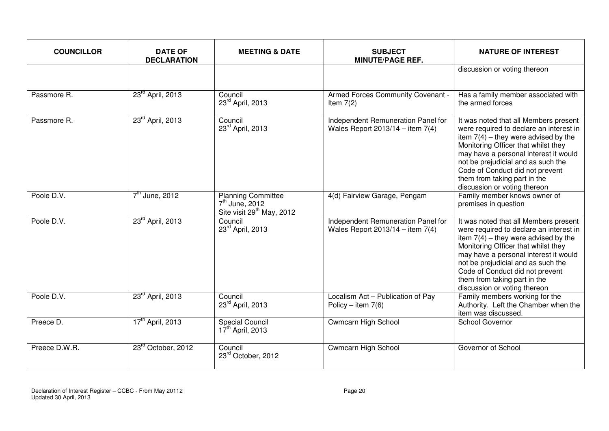| <b>COUNCILLOR</b> | <b>DATE OF</b><br><b>DECLARATION</b> | <b>MEETING &amp; DATE</b>                                                              | <b>SUBJECT</b><br><b>MINUTE/PAGE REF.</b>                                | <b>NATURE OF INTEREST</b>                                                                                                                                                                                                                                                                                                                           |
|-------------------|--------------------------------------|----------------------------------------------------------------------------------------|--------------------------------------------------------------------------|-----------------------------------------------------------------------------------------------------------------------------------------------------------------------------------------------------------------------------------------------------------------------------------------------------------------------------------------------------|
|                   |                                      |                                                                                        |                                                                          | discussion or voting thereon                                                                                                                                                                                                                                                                                                                        |
| Passmore R.       | 23 <sup>rd</sup> April, 2013         | Council<br>23rd April, 2013                                                            | Armed Forces Community Covenant -<br>Item $7(2)$                         | Has a family member associated with<br>the armed forces                                                                                                                                                                                                                                                                                             |
| Passmore R.       | 23 <sup>rd</sup> April, 2013         | Council<br>23rd April, 2013                                                            | Independent Remuneration Panel for<br>Wales Report $2013/14 -$ item 7(4) | It was noted that all Members present<br>were required to declare an interest in<br>item $7(4)$ – they were advised by the<br>Monitoring Officer that whilst they<br>may have a personal interest it would<br>not be prejudicial and as such the<br>Code of Conduct did not prevent<br>them from taking part in the<br>discussion or voting thereon |
| Poole D.V.        | $7th$ June, 2012                     | <b>Planning Committee</b><br>$7th$ June, 2012<br>Site visit 29 <sup>th</sup> May, 2012 | 4(d) Fairview Garage, Pengam                                             | Family member knows owner of<br>premises in question                                                                                                                                                                                                                                                                                                |
| Poole D.V.        | 23 <sup>rd</sup> April, 2013         | Council<br>23rd April, 2013                                                            | Independent Remuneration Panel for<br>Wales Report $2013/14 -$ item 7(4) | It was noted that all Members present<br>were required to declare an interest in<br>item $7(4)$ – they were advised by the<br>Monitoring Officer that whilst they<br>may have a personal interest it would<br>not be prejudicial and as such the<br>Code of Conduct did not prevent<br>them from taking part in the<br>discussion or voting thereon |
| Poole D.V.        | 23 <sup>rd</sup> April, 2013         | Council<br>23rd April, 2013                                                            | Localism Act - Publication of Pay<br>Policy – item $7(6)$                | Family members working for the<br>Authority. Left the Chamber when the<br>item was discussed.                                                                                                                                                                                                                                                       |
| Preece D.         | 17 <sup>th</sup> April, 2013         | <b>Special Council</b><br>17 <sup>th</sup> April, 2013                                 | Cwmcarn High School                                                      | School Governor                                                                                                                                                                                                                                                                                                                                     |
| Preece D.W.R.     | 23rd October, 2012                   | Council<br>23rd October, 2012                                                          | <b>Cwmcarn High School</b>                                               | Governor of School                                                                                                                                                                                                                                                                                                                                  |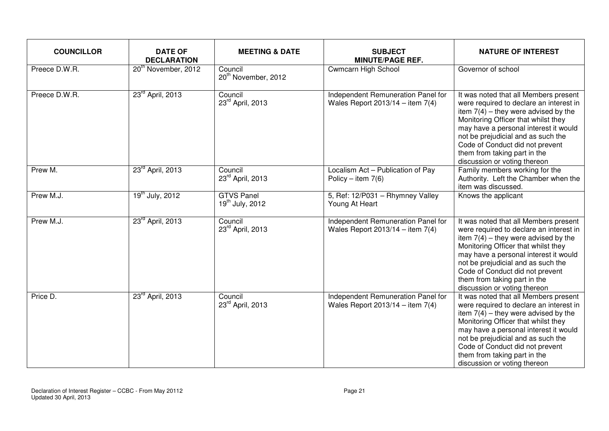| <b>COUNCILLOR</b> | <b>DATE OF</b><br><b>DECLARATION</b> | <b>MEETING &amp; DATE</b>                  | <b>SUBJECT</b><br><b>MINUTE/PAGE REF.</b>                                | <b>NATURE OF INTEREST</b>                                                                                                                                                                                                                                                                                                                           |
|-------------------|--------------------------------------|--------------------------------------------|--------------------------------------------------------------------------|-----------------------------------------------------------------------------------------------------------------------------------------------------------------------------------------------------------------------------------------------------------------------------------------------------------------------------------------------------|
| Preece D.W.R.     | 20 <sup>th</sup> November, 2012      | Council<br>20 <sup>th</sup> November, 2012 | Cwmcarn High School                                                      | Governor of school                                                                                                                                                                                                                                                                                                                                  |
| Preece D.W.R.     | 23 <sup>rd</sup> April, 2013         | Council<br>23rd April, 2013                | Independent Remuneration Panel for<br>Wales Report $2013/14 -$ item 7(4) | It was noted that all Members present<br>were required to declare an interest in<br>item $7(4)$ – they were advised by the<br>Monitoring Officer that whilst they<br>may have a personal interest it would<br>not be prejudicial and as such the<br>Code of Conduct did not prevent<br>them from taking part in the<br>discussion or voting thereon |
| Prew M.           | 23rd April, 2013                     | Council<br>23rd April, 2013                | Localism Act - Publication of Pay<br>Policy – item $7(6)$                | Family members working for the<br>Authority. Left the Chamber when the<br>item was discussed.                                                                                                                                                                                                                                                       |
| Prew M.J.         | 19 <sup>th</sup> July, 2012          | <b>GTVS Panel</b><br>$19^{th}$ July, 2012  | 5, Ref: 12/P031 - Rhymney Valley<br>Young At Heart                       | Knows the applicant                                                                                                                                                                                                                                                                                                                                 |
| Prew M.J.         | 23 <sup>rd</sup> April, 2013         | Council<br>23rd April, 2013                | Independent Remuneration Panel for<br>Wales Report $2013/14 -$ item 7(4) | It was noted that all Members present<br>were required to declare an interest in<br>item $7(4)$ – they were advised by the<br>Monitoring Officer that whilst they<br>may have a personal interest it would<br>not be prejudicial and as such the<br>Code of Conduct did not prevent<br>them from taking part in the<br>discussion or voting thereon |
| Price D.          | 23rd April, 2013                     | Council<br>23rd April, 2013                | Independent Remuneration Panel for<br>Wales Report $2013/14 -$ item 7(4) | It was noted that all Members present<br>were required to declare an interest in<br>item $7(4)$ – they were advised by the<br>Monitoring Officer that whilst they<br>may have a personal interest it would<br>not be prejudicial and as such the<br>Code of Conduct did not prevent<br>them from taking part in the<br>discussion or voting thereon |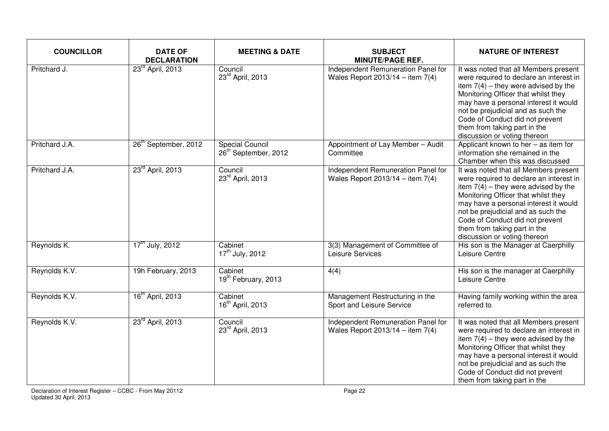| <b>COUNCILLOR</b> | <b>DATE OF</b><br><b>DECLARATION</b> | <b>MEETING &amp; DATE</b>                                  | <b>SUBJECT</b><br><b>MINUTE/PAGE REF.</b>                                | <b>NATURE OF INTEREST</b>                                                                                                                                                                                                                                                                                                                           |
|-------------------|--------------------------------------|------------------------------------------------------------|--------------------------------------------------------------------------|-----------------------------------------------------------------------------------------------------------------------------------------------------------------------------------------------------------------------------------------------------------------------------------------------------------------------------------------------------|
| Pritchard J.      | 23 <sup>rd</sup> April, 2013         | Council<br>23rd April, 2013                                | Independent Remuneration Panel for<br>Wales Report 2013/14 - item $7(4)$ | It was noted that all Members present<br>were required to declare an interest in<br>item $7(4)$ – they were advised by the<br>Monitoring Officer that whilst they<br>may have a personal interest it would<br>not be prejudicial and as such the<br>Code of Conduct did not prevent<br>them from taking part in the<br>discussion or voting thereon |
| Pritchard J.A.    | 26 <sup>th</sup> September, 2012     | <b>Special Council</b><br>26 <sup>th</sup> September, 2012 | Appointment of Lay Member - Audit<br>Committee                           | Applicant known to her - as item for<br>information she remained in the<br>Chamber when this was discussed                                                                                                                                                                                                                                          |
| Pritchard J.A.    | 23 <sup>rd</sup> April, 2013         | Council<br>23rd April, 2013                                | Independent Remuneration Panel for<br>Wales Report 2013/14 - item $7(4)$ | It was noted that all Members present<br>were required to declare an interest in<br>item $7(4)$ – they were advised by the<br>Monitoring Officer that whilst they<br>may have a personal interest it would<br>not be prejudicial and as such the<br>Code of Conduct did not prevent<br>them from taking part in the<br>discussion or voting thereon |
| Reynolds K.       | $17^{\text{th}}$ July, 2012          | Cabinet<br>17 <sup>th</sup> July, 2012                     | 3(3) Management of Committee of<br>Leisure Services                      | His son is the Manager at Caerphilly<br>Leisure Centre                                                                                                                                                                                                                                                                                              |
| Reynolds K.V.     | 19h February, 2013                   | Cabinet<br>19 <sup>th</sup> February, 2013                 | 4(4)                                                                     | His son is the manager at Caerphilly<br>Leisure Centre                                                                                                                                                                                                                                                                                              |
| Reynolds K.V.     | 16 <sup>th</sup> April, 2013         | Cabinet<br>16 <sup>th</sup> April, 2013                    | Management Restructuring in the<br>Sport and Leisure Service             | Having family working within the area<br>referred to                                                                                                                                                                                                                                                                                                |
| Reynolds K.V.     | 23 <sup>rd</sup> April, 2013         | Council<br>23rd April, 2013                                | Independent Remuneration Panel for<br>Wales Report $2013/14 -$ item 7(4) | It was noted that all Members present<br>were required to declare an interest in<br>item $7(4)$ – they were advised by the<br>Monitoring Officer that whilst they<br>may have a personal interest it would<br>not be prejudicial and as such the<br>Code of Conduct did not prevent<br>them from taking part in the                                 |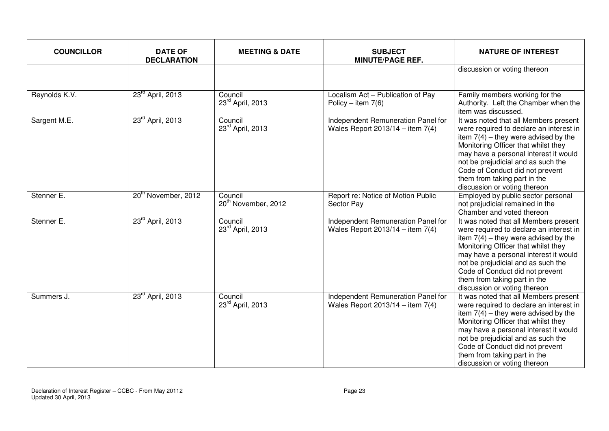| <b>COUNCILLOR</b> | <b>DATE OF</b><br><b>DECLARATION</b> | <b>MEETING &amp; DATE</b>                  | <b>SUBJECT</b><br><b>MINUTE/PAGE REF.</b>                                | <b>NATURE OF INTEREST</b>                                                                                                                                                                                                                                                                                                                           |
|-------------------|--------------------------------------|--------------------------------------------|--------------------------------------------------------------------------|-----------------------------------------------------------------------------------------------------------------------------------------------------------------------------------------------------------------------------------------------------------------------------------------------------------------------------------------------------|
|                   |                                      |                                            |                                                                          | discussion or voting thereon                                                                                                                                                                                                                                                                                                                        |
| Reynolds K.V.     | 23 <sup>rd</sup> April, 2013         | Council<br>23rd April, 2013                | Localism Act - Publication of Pay<br>Policy – item $7(6)$                | Family members working for the<br>Authority. Left the Chamber when the<br>item was discussed.                                                                                                                                                                                                                                                       |
| Sargent M.E.      | 23 <sup>rd</sup> April, 2013         | Council<br>23rd April, 2013                | Independent Remuneration Panel for<br>Wales Report $2013/14 -$ item 7(4) | It was noted that all Members present<br>were required to declare an interest in<br>item $7(4)$ – they were advised by the<br>Monitoring Officer that whilst they<br>may have a personal interest it would<br>not be prejudicial and as such the<br>Code of Conduct did not prevent<br>them from taking part in the<br>discussion or voting thereon |
| Stenner E.        | 20 <sup>th</sup> November, 2012      | Council<br>20 <sup>th</sup> November, 2012 | Report re: Notice of Motion Public<br>Sector Pay                         | Employed by public sector personal<br>not prejudicial remained in the<br>Chamber and voted thereon                                                                                                                                                                                                                                                  |
| Stenner E.        | 23 <sup>rd</sup> April, 2013         | Council<br>23rd April, 2013                | Independent Remuneration Panel for<br>Wales Report $2013/14 -$ item 7(4) | It was noted that all Members present<br>were required to declare an interest in<br>item $7(4)$ – they were advised by the<br>Monitoring Officer that whilst they<br>may have a personal interest it would<br>not be prejudicial and as such the<br>Code of Conduct did not prevent<br>them from taking part in the<br>discussion or voting thereon |
| Summers J.        | 23 <sup>rd</sup> April, 2013         | Council<br>23rd April, 2013                | Independent Remuneration Panel for<br>Wales Report $2013/14 -$ item 7(4) | It was noted that all Members present<br>were required to declare an interest in<br>item $7(4)$ – they were advised by the<br>Monitoring Officer that whilst they<br>may have a personal interest it would<br>not be prejudicial and as such the<br>Code of Conduct did not prevent<br>them from taking part in the<br>discussion or voting thereon |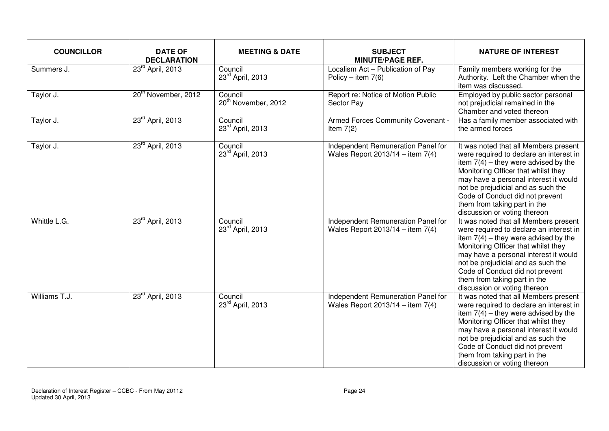| <b>COUNCILLOR</b> | <b>DATE OF</b><br><b>DECLARATION</b> | <b>MEETING &amp; DATE</b>                  | <b>SUBJECT</b><br><b>MINUTE/PAGE REF.</b>                                  | <b>NATURE OF INTEREST</b>                                                                                                                                                                                                                                                                                                                           |
|-------------------|--------------------------------------|--------------------------------------------|----------------------------------------------------------------------------|-----------------------------------------------------------------------------------------------------------------------------------------------------------------------------------------------------------------------------------------------------------------------------------------------------------------------------------------------------|
| Summers J.        | 23rd April, 2013                     | Council<br>23rd April, 2013                | Localism Act - Publication of Pay<br>Policy – item $7(6)$                  | Family members working for the<br>Authority. Left the Chamber when the<br>item was discussed.                                                                                                                                                                                                                                                       |
| Taylor J.         | 20 <sup>th</sup> November, 2012      | Council<br>20 <sup>th</sup> November, 2012 | Report re: Notice of Motion Public<br>Sector Pay                           | Employed by public sector personal<br>not prejudicial remained in the<br>Chamber and voted thereon                                                                                                                                                                                                                                                  |
| Taylor J.         | 23 <sup>rd</sup> April, 2013         | Council<br>23rd April, 2013                | Armed Forces Community Covenant -<br>Item $7(2)$                           | Has a family member associated with<br>the armed forces                                                                                                                                                                                                                                                                                             |
| Taylor J.         | 23 <sup>rd</sup> April, 2013         | Council<br>23rd April, 2013                | Independent Remuneration Panel for<br>Wales Report $2013/14 -$ item $7(4)$ | It was noted that all Members present<br>were required to declare an interest in<br>item $7(4)$ – they were advised by the<br>Monitoring Officer that whilst they<br>may have a personal interest it would<br>not be prejudicial and as such the<br>Code of Conduct did not prevent<br>them from taking part in the<br>discussion or voting thereon |
| Whittle L.G.      | 23 <sup>rd</sup> April, 2013         | Council<br>23rd April, 2013                | Independent Remuneration Panel for<br>Wales Report 2013/14 - item $7(4)$   | It was noted that all Members present<br>were required to declare an interest in<br>item $7(4)$ – they were advised by the<br>Monitoring Officer that whilst they<br>may have a personal interest it would<br>not be prejudicial and as such the<br>Code of Conduct did not prevent<br>them from taking part in the<br>discussion or voting thereon |
| Williams T.J.     | 23 <sup>rd</sup> April, 2013         | Council<br>23rd April, 2013                | Independent Remuneration Panel for<br>Wales Report $2013/14 -$ item 7(4)   | It was noted that all Members present<br>were required to declare an interest in<br>item $7(4)$ – they were advised by the<br>Monitoring Officer that whilst they<br>may have a personal interest it would<br>not be prejudicial and as such the<br>Code of Conduct did not prevent<br>them from taking part in the<br>discussion or voting thereon |